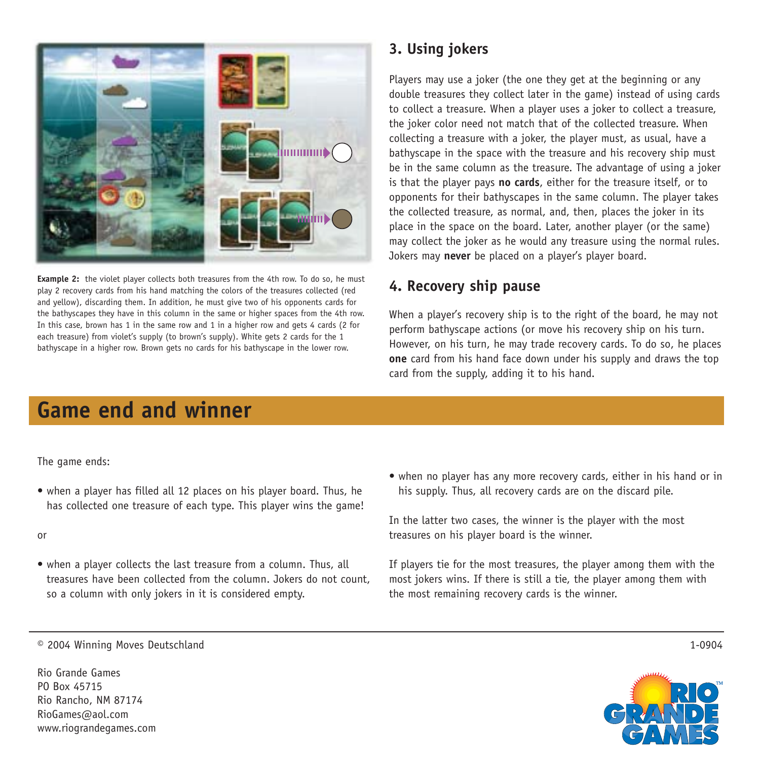

**Example 2:** the violet player collects both treasures from the 4th row. To do so, he must play 2 recovery cards from his hand matching the colors of the treasures collected (red and yellow), discarding them. In addition, he must give two of his opponents cards for the bathyscapes they have in this column in the same or higher spaces from the 4th row. In this case, brown has 1 in the same row and 1 in a higher row and gets 4 cards (2 for each treasure) from violet's supply (to brown's supply). White gets 2 cards for the 1 bathyscape in a higher row. Brown gets no cards for his bathyscape in the lower row.

### **3. Using jokers**

Players may use a joker (the one they get at the beginning or any double treasures they collect later in the game) instead of using cards to collect a treasure. When a player uses a joker to collect a treasure, the joker color need not match that of the collected treasure. When collecting a treasure with a joker, the player must, as usual, have a bathyscape in the space with the treasure and his recovery ship must be in the same column as the treasure. The advantage of using a joker is that the player pays **no cards**, either for the treasure itself, or to opponents for their bathyscapes in the same column. The player takes the collected treasure, as normal, and, then, places the joker in its place in the space on the board. Later, another player (or the same) may collect the joker as he would any treasure using the normal rules. Jokers may **never** be placed on a player's player board.

#### **4. Recovery ship pause**

When a player's recovery ship is to the right of the board, he may not perform bathyscape actions (or move his recovery ship on his turn. However, on his turn, he may trade recovery cards. To do so, he places **one** card from his hand face down under his supply and draws the top card from the supply, adding it to his hand.

## **Game end and winner**

The game ends:

• when a player has filled all 12 places on his player board. Thus, he has collected one treasure of each type. This player wins the game!

or

- when a player collects the last treasure from a column. Thus, all treasures have been collected from the column. Jokers do not count, so a column with only jokers in it is considered empty.
- when no player has any more recovery cards, either in his hand or in his supply. Thus, all recovery cards are on the discard pile.

In the latter two cases, the winner is the player with the most treasures on his player board is the winner.

If players tie for the most treasures, the player among them with the most jokers wins. If there is still a tie, the player among them with the most remaining recovery cards is the winner.

© 2004 Winning Moves Deutschland

Rio Grande Games PO Box 45715 Rio Rancho, NM 87174 RioGames@aol.com www.riograndegames.com



1-0904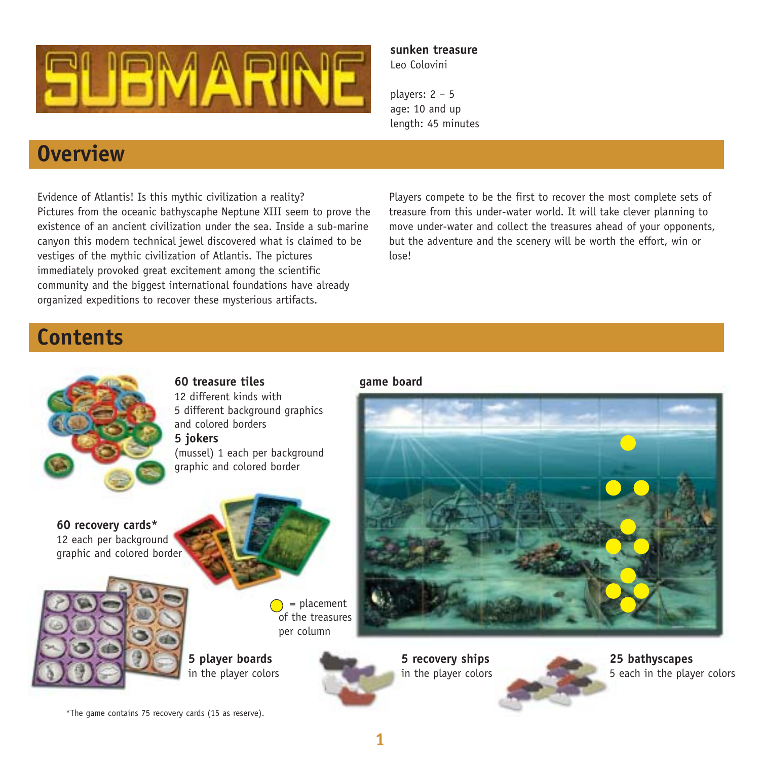

#### **sunken treasure** Leo Colovini

players: 2 – 5 age: 10 and up length: 45 minutes

## **Overview**

Evidence of Atlantis! Is this mythic civilization a reality? Pictures from the oceanic bathyscaphe Neptune XIII seem to prove the existence of an ancient civilization under the sea. Inside a sub-marine canyon this modern technical jewel discovered what is claimed to be vestiges of the mythic civilization of Atlantis. The pictures immediately provoked great excitement among the scientific community and the biggest international foundations have already organized expeditions to recover these mysterious artifacts.

Players compete to be the first to recover the most complete sets of treasure from this under-water world. It will take clever planning to move under-water and collect the treasures ahead of your opponents, but the adventure and the scenery will be worth the effort, win or lose!

### **Contents**



#### **60 treasure tiles**

12 different kinds with 5 different background graphics and colored borders **5 jokers**

(mussel) 1 each per background graphic and colored border

**60 recovery cards\*** 12 each per background graphic and colored border





**5 player boards** in the player colors **5 recovery ships**  in the player colors



\*The game contains 75 recovery cards (15 as reserve).

**1**

**game board**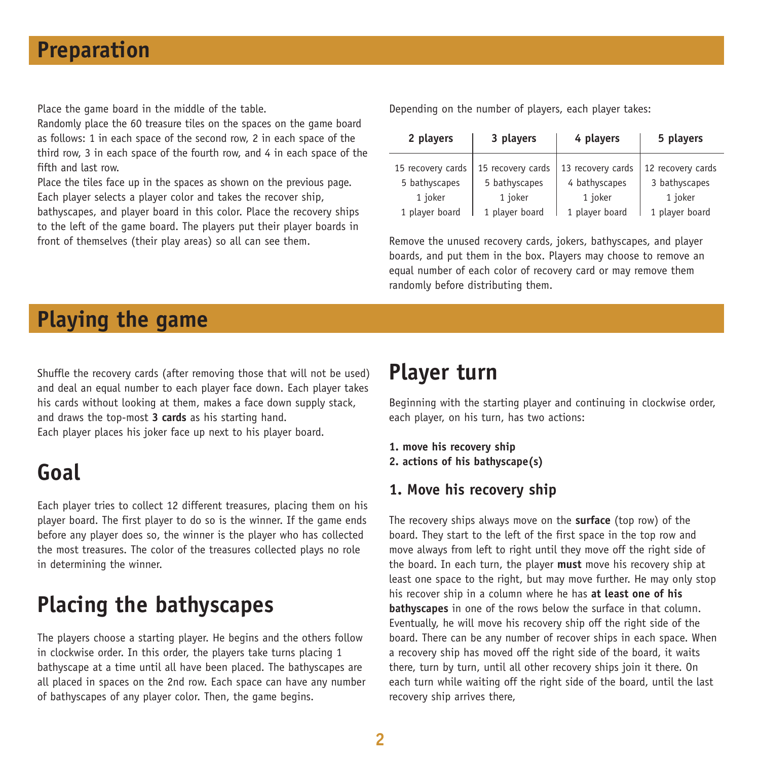### **Preparation**

Place the game board in the middle of the table.

Randomly place the 60 treasure tiles on the spaces on the game board as follows: 1 in each space of the second row, 2 in each space of the third row, 3 in each space of the fourth row, and 4 in each space of the fifth and last row.

Place the tiles face up in the spaces as shown on the previous page. Each player selects a player color and takes the recover ship, bathyscapes, and player board in this color. Place the recovery ships to the left of the game board. The players put their player boards in front of themselves (their play areas) so all can see them.

Depending on the number of players, each player takes:

| 2 players         | 3 players         | 4 players         | 5 players         |
|-------------------|-------------------|-------------------|-------------------|
| 15 recovery cards | 15 recovery cards | 13 recovery cards | 12 recovery cards |
| 5 bathyscapes     | 5 bathyscapes     | 4 bathyscapes     | 3 bathyscapes     |
| 1 joker           | 1 joker           | 1 joker           | 1 joker           |
| 1 player board    | 1 player board    | 1 player board    | 1 player board    |

Remove the unused recovery cards, jokers, bathyscapes, and player boards, and put them in the box. Players may choose to remove an equal number of each color of recovery card or may remove them randomly before distributing them.

# **Playing the game**

Shuffle the recovery cards (after removing those that will not be used) and deal an equal number to each player face down. Each player takes his cards without looking at them, makes a face down supply stack, and draws the top-most **3 cards** as his starting hand. Each player places his joker face up next to his player board.

## **Goal**

Each player tries to collect 12 different treasures, placing them on his player board. The first player to do so is the winner. If the game ends before any player does so, the winner is the player who has collected the most treasures. The color of the treasures collected plays no role in determining the winner.

# **Placing the bathyscapes**

The players choose a starting player. He begins and the others follow in clockwise order. In this order, the players take turns placing 1 bathyscape at a time until all have been placed. The bathyscapes are all placed in spaces on the 2nd row. Each space can have any number of bathyscapes of any player color. Then, the game begins.

## **Player turn**

Beginning with the starting player and continuing in clockwise order, each player, on his turn, has two actions:

- **1. move his recovery ship**
- **2. actions of his bathyscape(s)**

#### **1. Move his recovery ship**

The recovery ships always move on the **surface** (top row) of the board. They start to the left of the first space in the top row and move always from left to right until they move off the right side of the board. In each turn, the player **must** move his recovery ship at least one space to the right, but may move further. He may only stop his recover ship in a column where he has **at least one of his bathyscapes** in one of the rows below the surface in that column. Eventually, he will move his recovery ship off the right side of the board. There can be any number of recover ships in each space. When a recovery ship has moved off the right side of the board, it waits there, turn by turn, until all other recovery ships join it there. On each turn while waiting off the right side of the board, until the last recovery ship arrives there,